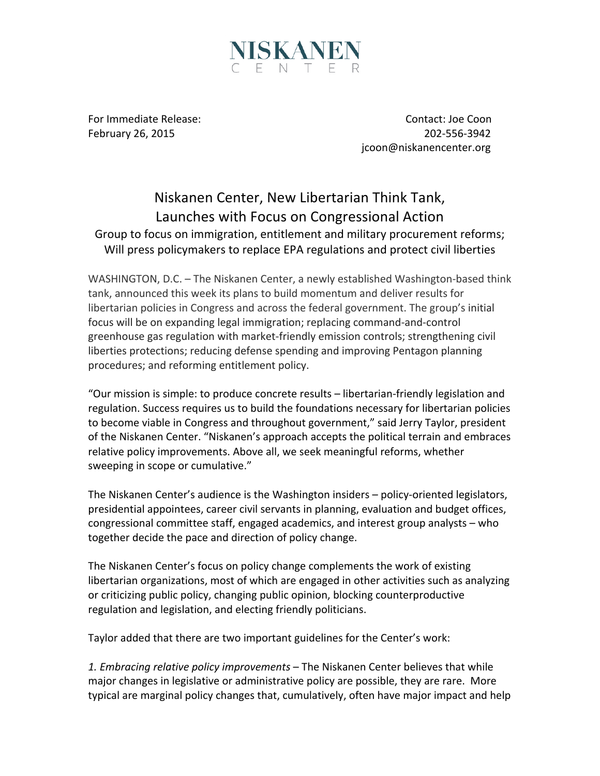

For Immediate Release: The Contact: Joe Coon February 26, 2015 **80. In the Contract of the Contract of the Contract of the Contract of the Contract of the Contract of the Contract of the Contract of the Contract of the Contract of the Contract of the Contract of the**  jcoon@niskanencenter.org

## Niskanen Center, New Libertarian Think Tank, Launches with Focus on Congressional Action Group to focus on immigration, entitlement and military procurement reforms; Will press policymakers to replace EPA regulations and protect civil liberties

WASHINGTON, D.C. – The Niskanen Center, a newly established Washington-based think tank, announced this week its plans to build momentum and deliver results for libertarian policies in Congress and across the federal government. The group's initial focus will be on expanding legal immigration; replacing command-and-control greenhouse gas regulation with market-friendly emission controls; strengthening civil liberties protections; reducing defense spending and improving Pentagon planning procedures; and reforming entitlement policy.

"Our mission is simple: to produce concrete results – libertarian-friendly legislation and regulation. Success requires us to build the foundations necessary for libertarian policies to become viable in Congress and throughout government," said Jerry Taylor, president of the Niskanen Center. "Niskanen's approach accepts the political terrain and embraces relative policy improvements. Above all, we seek meaningful reforms, whether sweeping in scope or cumulative."

The Niskanen Center's audience is the Washington insiders – policy-oriented legislators, presidential appointees, career civil servants in planning, evaluation and budget offices, congressional committee staff, engaged academics, and interest group analysts – who together decide the pace and direction of policy change.

The Niskanen Center's focus on policy change complements the work of existing libertarian organizations, most of which are engaged in other activities such as analyzing or criticizing public policy, changing public opinion, blocking counterproductive regulation and legislation, and electing friendly politicians.

Taylor added that there are two important guidelines for the Center's work:

1. *Embracing relative policy improvements* – The Niskanen Center believes that while major changes in legislative or administrative policy are possible, they are rare. More typical are marginal policy changes that, cumulatively, often have major impact and help